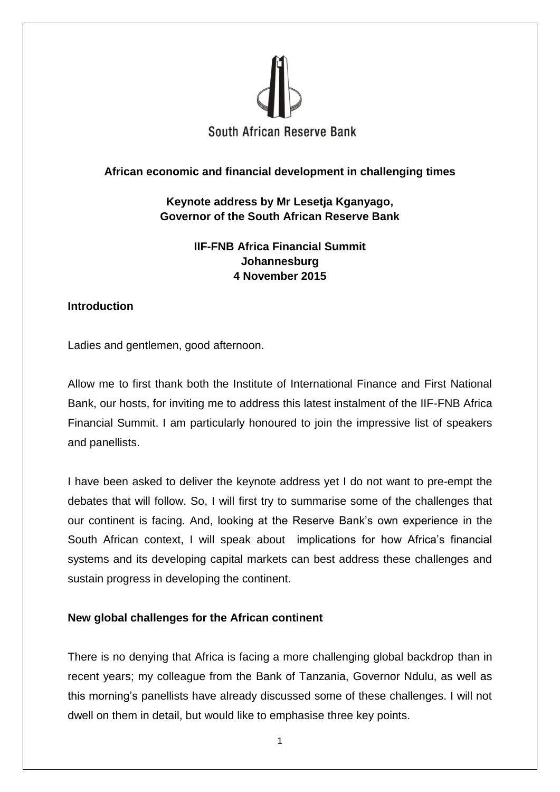

## **African economic and financial development in challenging times**

# **Keynote address by Mr Lesetja Kganyago, Governor of the South African Reserve Bank**

**IIF-FNB Africa Financial Summit Johannesburg 4 November 2015**

### **Introduction**

Ladies and gentlemen, good afternoon.

Allow me to first thank both the Institute of International Finance and First National Bank, our hosts, for inviting me to address this latest instalment of the IIF-FNB Africa Financial Summit. I am particularly honoured to join the impressive list of speakers and panellists.

I have been asked to deliver the keynote address yet I do not want to pre-empt the debates that will follow. So, I will first try to summarise some of the challenges that our continent is facing. And, looking at the Reserve Bank's own experience in the South African context, I will speak about implications for how Africa's financial systems and its developing capital markets can best address these challenges and sustain progress in developing the continent.

## **New global challenges for the African continent**

There is no denying that Africa is facing a more challenging global backdrop than in recent years; my colleague from the Bank of Tanzania, Governor Ndulu, as well as this morning's panellists have already discussed some of these challenges. I will not dwell on them in detail, but would like to emphasise three key points.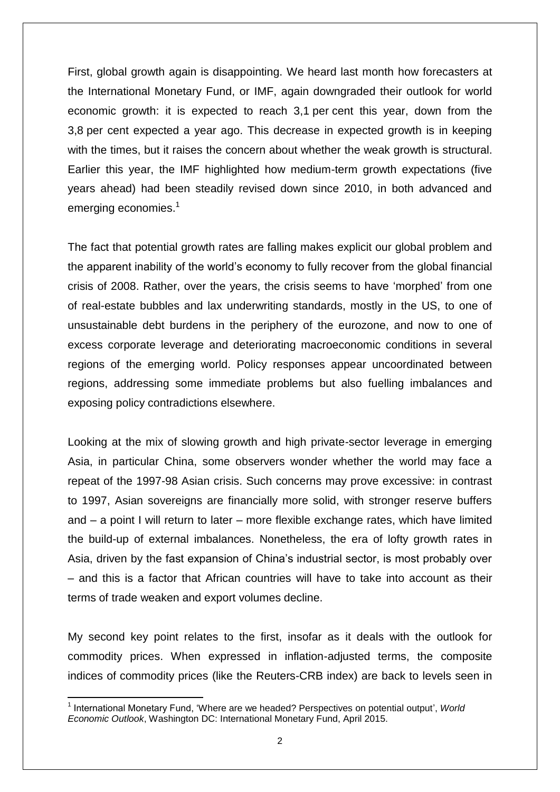First, global growth again is disappointing. We heard last month how forecasters at the International Monetary Fund, or IMF, again downgraded their outlook for world economic growth: it is expected to reach 3,1 per cent this year, down from the 3,8 per cent expected a year ago. This decrease in expected growth is in keeping with the times, but it raises the concern about whether the weak growth is structural. Earlier this year, the IMF highlighted how medium-term growth expectations (five years ahead) had been steadily revised down since 2010, in both advanced and emerging economies.<sup>1</sup>

The fact that potential growth rates are falling makes explicit our global problem and the apparent inability of the world's economy to fully recover from the global financial crisis of 2008. Rather, over the years, the crisis seems to have 'morphed' from one of real-estate bubbles and lax underwriting standards, mostly in the US, to one of unsustainable debt burdens in the periphery of the eurozone, and now to one of excess corporate leverage and deteriorating macroeconomic conditions in several regions of the emerging world. Policy responses appear uncoordinated between regions, addressing some immediate problems but also fuelling imbalances and exposing policy contradictions elsewhere.

Looking at the mix of slowing growth and high private-sector leverage in emerging Asia, in particular China, some observers wonder whether the world may face a repeat of the 1997-98 Asian crisis. Such concerns may prove excessive: in contrast to 1997, Asian sovereigns are financially more solid, with stronger reserve buffers and – a point I will return to later – more flexible exchange rates, which have limited the build-up of external imbalances. Nonetheless, the era of lofty growth rates in Asia, driven by the fast expansion of China's industrial sector, is most probably over – and this is a factor that African countries will have to take into account as their terms of trade weaken and export volumes decline.

My second key point relates to the first, insofar as it deals with the outlook for commodity prices. When expressed in inflation-adjusted terms, the composite indices of commodity prices (like the Reuters-CRB index) are back to levels seen in

**.** 

<sup>1</sup> International Monetary Fund, 'Where are we headed? Perspectives on potential output', *World Economic Outlook*, Washington DC: International Monetary Fund, April 2015.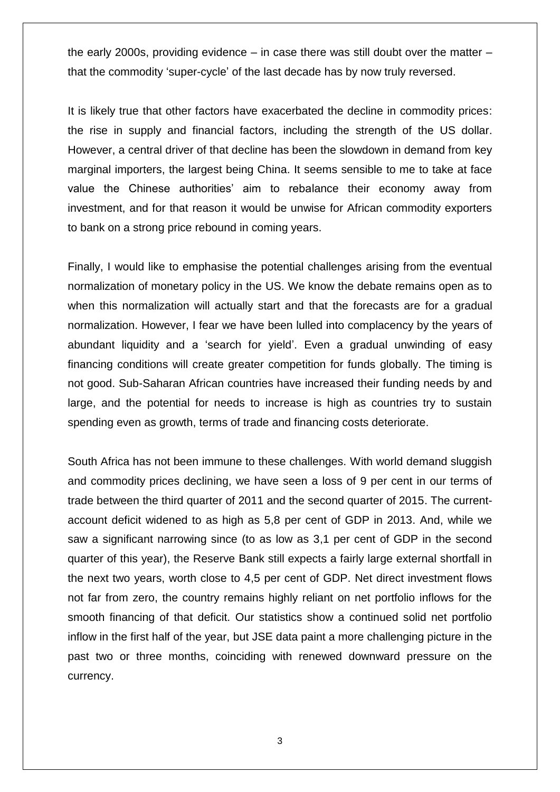the early 2000s, providing evidence – in case there was still doubt over the matter – that the commodity 'super-cycle' of the last decade has by now truly reversed.

It is likely true that other factors have exacerbated the decline in commodity prices: the rise in supply and financial factors, including the strength of the US dollar. However, a central driver of that decline has been the slowdown in demand from key marginal importers, the largest being China. It seems sensible to me to take at face value the Chinese authorities' aim to rebalance their economy away from investment, and for that reason it would be unwise for African commodity exporters to bank on a strong price rebound in coming years.

Finally, I would like to emphasise the potential challenges arising from the eventual normalization of monetary policy in the US. We know the debate remains open as to when this normalization will actually start and that the forecasts are for a gradual normalization. However, I fear we have been lulled into complacency by the years of abundant liquidity and a 'search for yield'. Even a gradual unwinding of easy financing conditions will create greater competition for funds globally. The timing is not good. Sub-Saharan African countries have increased their funding needs by and large, and the potential for needs to increase is high as countries try to sustain spending even as growth, terms of trade and financing costs deteriorate.

South Africa has not been immune to these challenges. With world demand sluggish and commodity prices declining, we have seen a loss of 9 per cent in our terms of trade between the third quarter of 2011 and the second quarter of 2015. The currentaccount deficit widened to as high as 5,8 per cent of GDP in 2013. And, while we saw a significant narrowing since (to as low as 3,1 per cent of GDP in the second quarter of this year), the Reserve Bank still expects a fairly large external shortfall in the next two years, worth close to 4,5 per cent of GDP. Net direct investment flows not far from zero, the country remains highly reliant on net portfolio inflows for the smooth financing of that deficit. Our statistics show a continued solid net portfolio inflow in the first half of the year, but JSE data paint a more challenging picture in the past two or three months, coinciding with renewed downward pressure on the currency.

3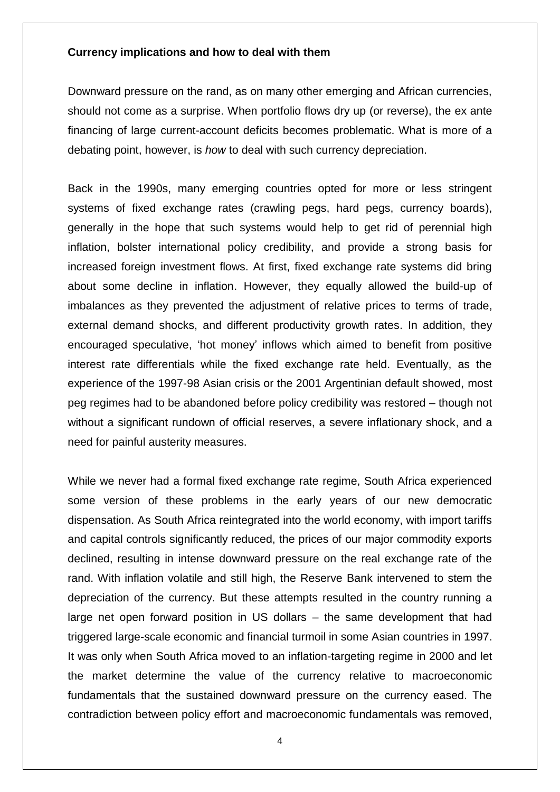#### **Currency implications and how to deal with them**

Downward pressure on the rand, as on many other emerging and African currencies, should not come as a surprise. When portfolio flows dry up (or reverse), the ex ante financing of large current-account deficits becomes problematic. What is more of a debating point, however, is *how* to deal with such currency depreciation.

Back in the 1990s, many emerging countries opted for more or less stringent systems of fixed exchange rates (crawling pegs, hard pegs, currency boards), generally in the hope that such systems would help to get rid of perennial high inflation, bolster international policy credibility, and provide a strong basis for increased foreign investment flows. At first, fixed exchange rate systems did bring about some decline in inflation. However, they equally allowed the build-up of imbalances as they prevented the adjustment of relative prices to terms of trade, external demand shocks, and different productivity growth rates. In addition, they encouraged speculative, 'hot money' inflows which aimed to benefit from positive interest rate differentials while the fixed exchange rate held. Eventually, as the experience of the 1997-98 Asian crisis or the 2001 Argentinian default showed, most peg regimes had to be abandoned before policy credibility was restored – though not without a significant rundown of official reserves, a severe inflationary shock, and a need for painful austerity measures.

While we never had a formal fixed exchange rate regime, South Africa experienced some version of these problems in the early years of our new democratic dispensation. As South Africa reintegrated into the world economy, with import tariffs and capital controls significantly reduced, the prices of our major commodity exports declined, resulting in intense downward pressure on the real exchange rate of the rand. With inflation volatile and still high, the Reserve Bank intervened to stem the depreciation of the currency. But these attempts resulted in the country running a large net open forward position in US dollars – the same development that had triggered large-scale economic and financial turmoil in some Asian countries in 1997. It was only when South Africa moved to an inflation-targeting regime in 2000 and let the market determine the value of the currency relative to macroeconomic fundamentals that the sustained downward pressure on the currency eased. The contradiction between policy effort and macroeconomic fundamentals was removed,

4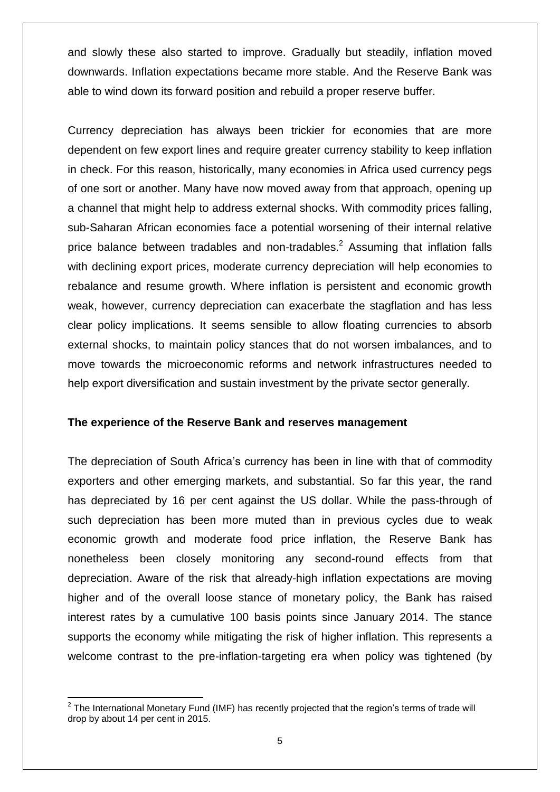and slowly these also started to improve. Gradually but steadily, inflation moved downwards. Inflation expectations became more stable. And the Reserve Bank was able to wind down its forward position and rebuild a proper reserve buffer.

Currency depreciation has always been trickier for economies that are more dependent on few export lines and require greater currency stability to keep inflation in check. For this reason, historically, many economies in Africa used currency pegs of one sort or another. Many have now moved away from that approach, opening up a channel that might help to address external shocks. With commodity prices falling, sub-Saharan African economies face a potential worsening of their internal relative price balance between tradables and non-tradables.<sup>2</sup> Assuming that inflation falls with declining export prices, moderate currency depreciation will help economies to rebalance and resume growth. Where inflation is persistent and economic growth weak, however, currency depreciation can exacerbate the stagflation and has less clear policy implications. It seems sensible to allow floating currencies to absorb external shocks, to maintain policy stances that do not worsen imbalances, and to move towards the microeconomic reforms and network infrastructures needed to help export diversification and sustain investment by the private sector generally.

### **The experience of the Reserve Bank and reserves management**

The depreciation of South Africa's currency has been in line with that of commodity exporters and other emerging markets, and substantial. So far this year, the rand has depreciated by 16 per cent against the US dollar. While the pass-through of such depreciation has been more muted than in previous cycles due to weak economic growth and moderate food price inflation, the Reserve Bank has nonetheless been closely monitoring any second-round effects from that depreciation. Aware of the risk that already-high inflation expectations are moving higher and of the overall loose stance of monetary policy, the Bank has raised interest rates by a cumulative 100 basis points since January 2014. The stance supports the economy while mitigating the risk of higher inflation. This represents a welcome contrast to the pre-inflation-targeting era when policy was tightened (by

 2 The International Monetary Fund (IMF) has recently projected that the region's terms of trade will drop by about 14 per cent in 2015.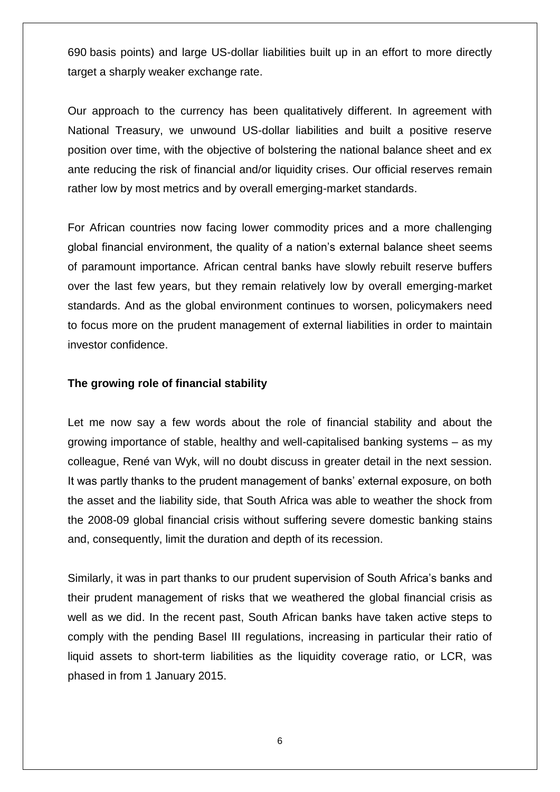690 basis points) and large US-dollar liabilities built up in an effort to more directly target a sharply weaker exchange rate.

Our approach to the currency has been qualitatively different. In agreement with National Treasury, we unwound US-dollar liabilities and built a positive reserve position over time, with the objective of bolstering the national balance sheet and ex ante reducing the risk of financial and/or liquidity crises. Our official reserves remain rather low by most metrics and by overall emerging-market standards.

For African countries now facing lower commodity prices and a more challenging global financial environment, the quality of a nation's external balance sheet seems of paramount importance. African central banks have slowly rebuilt reserve buffers over the last few years, but they remain relatively low by overall emerging-market standards. And as the global environment continues to worsen, policymakers need to focus more on the prudent management of external liabilities in order to maintain investor confidence.

#### **The growing role of financial stability**

Let me now say a few words about the role of financial stability and about the growing importance of stable, healthy and well-capitalised banking systems – as my colleague, René van Wyk, will no doubt discuss in greater detail in the next session. It was partly thanks to the prudent management of banks' external exposure, on both the asset and the liability side, that South Africa was able to weather the shock from the 2008-09 global financial crisis without suffering severe domestic banking stains and, consequently, limit the duration and depth of its recession.

Similarly, it was in part thanks to our prudent supervision of South Africa's banks and their prudent management of risks that we weathered the global financial crisis as well as we did. In the recent past, South African banks have taken active steps to comply with the pending Basel III regulations, increasing in particular their ratio of liquid assets to short-term liabilities as the liquidity coverage ratio, or LCR, was phased in from 1 January 2015.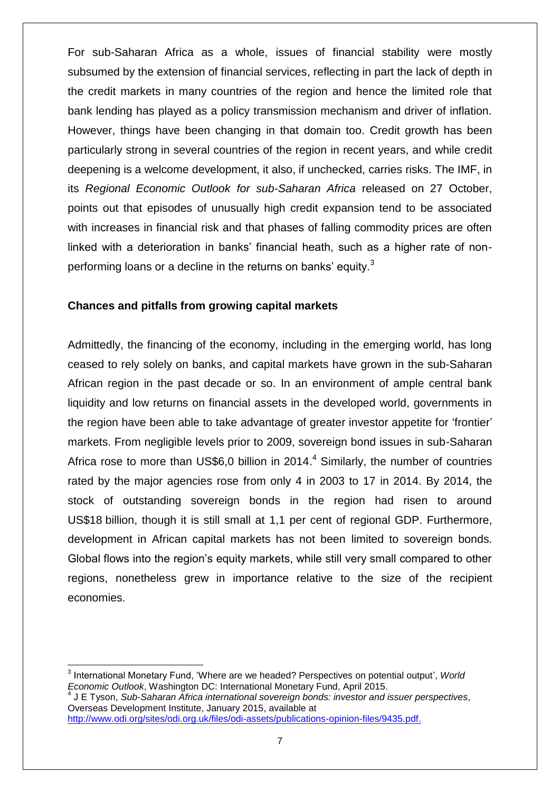For sub-Saharan Africa as a whole, issues of financial stability were mostly subsumed by the extension of financial services, reflecting in part the lack of depth in the credit markets in many countries of the region and hence the limited role that bank lending has played as a policy transmission mechanism and driver of inflation. However, things have been changing in that domain too. Credit growth has been particularly strong in several countries of the region in recent years, and while credit deepening is a welcome development, it also, if unchecked, carries risks. The IMF, in its *Regional Economic Outlook for sub-Saharan Africa* released on 27 October, points out that episodes of unusually high credit expansion tend to be associated with increases in financial risk and that phases of falling commodity prices are often linked with a deterioration in banks' financial heath, such as a higher rate of nonperforming loans or a decline in the returns on banks' equity.<sup>3</sup>

### **Chances and pitfalls from growing capital markets**

Admittedly, the financing of the economy, including in the emerging world, has long ceased to rely solely on banks, and capital markets have grown in the sub-Saharan African region in the past decade or so. In an environment of ample central bank liquidity and low returns on financial assets in the developed world, governments in the region have been able to take advantage of greater investor appetite for 'frontier' markets. From negligible levels prior to 2009, sovereign bond issues in sub-Saharan Africa rose to more than US\$6,0 billion in 2014. $4$  Similarly, the number of countries rated by the major agencies rose from only 4 in 2003 to 17 in 2014. By 2014, the stock of outstanding sovereign bonds in the region had risen to around US\$18 billion, though it is still small at 1,1 per cent of regional GDP. Furthermore, development in African capital markets has not been limited to sovereign bonds. Global flows into the region's equity markets, while still very small compared to other regions, nonetheless grew in importance relative to the size of the recipient economies.

**.** 

<sup>3</sup> International Monetary Fund, 'Where are we headed? Perspectives on potential output', *World Economic Outlook*, Washington DC: International Monetary Fund, April 2015.

<sup>4</sup> J E Tyson, *Sub-Saharan Africa international sovereign bonds: investor and issuer perspectives*, Overseas Development Institute, January 2015, available at [http://www.odi.org/sites/odi.org.uk/files/odi-assets/publications-opinion-files/9435.pdf.](http://www.odi.org/sites/odi.org.uk/files/odi-assets/publications-opinion-files/9435.pdf)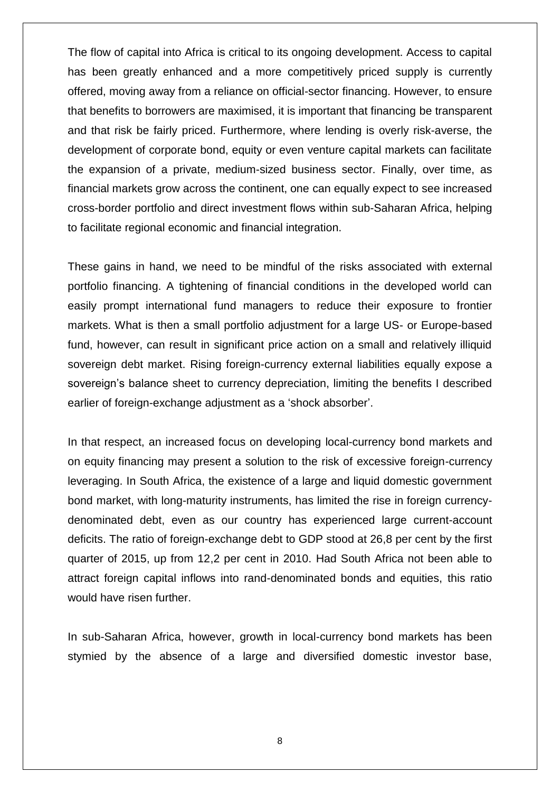The flow of capital into Africa is critical to its ongoing development. Access to capital has been greatly enhanced and a more competitively priced supply is currently offered, moving away from a reliance on official-sector financing. However, to ensure that benefits to borrowers are maximised, it is important that financing be transparent and that risk be fairly priced. Furthermore, where lending is overly risk-averse, the development of corporate bond, equity or even venture capital markets can facilitate the expansion of a private, medium-sized business sector. Finally, over time, as financial markets grow across the continent, one can equally expect to see increased cross-border portfolio and direct investment flows within sub-Saharan Africa, helping to facilitate regional economic and financial integration.

These gains in hand, we need to be mindful of the risks associated with external portfolio financing. A tightening of financial conditions in the developed world can easily prompt international fund managers to reduce their exposure to frontier markets. What is then a small portfolio adjustment for a large US- or Europe-based fund, however, can result in significant price action on a small and relatively illiquid sovereign debt market. Rising foreign-currency external liabilities equally expose a sovereign's balance sheet to currency depreciation, limiting the benefits I described earlier of foreign-exchange adjustment as a 'shock absorber'.

In that respect, an increased focus on developing local-currency bond markets and on equity financing may present a solution to the risk of excessive foreign-currency leveraging. In South Africa, the existence of a large and liquid domestic government bond market, with long-maturity instruments, has limited the rise in foreign currencydenominated debt, even as our country has experienced large current-account deficits. The ratio of foreign-exchange debt to GDP stood at 26,8 per cent by the first quarter of 2015, up from 12,2 per cent in 2010. Had South Africa not been able to attract foreign capital inflows into rand-denominated bonds and equities, this ratio would have risen further.

In sub-Saharan Africa, however, growth in local-currency bond markets has been stymied by the absence of a large and diversified domestic investor base,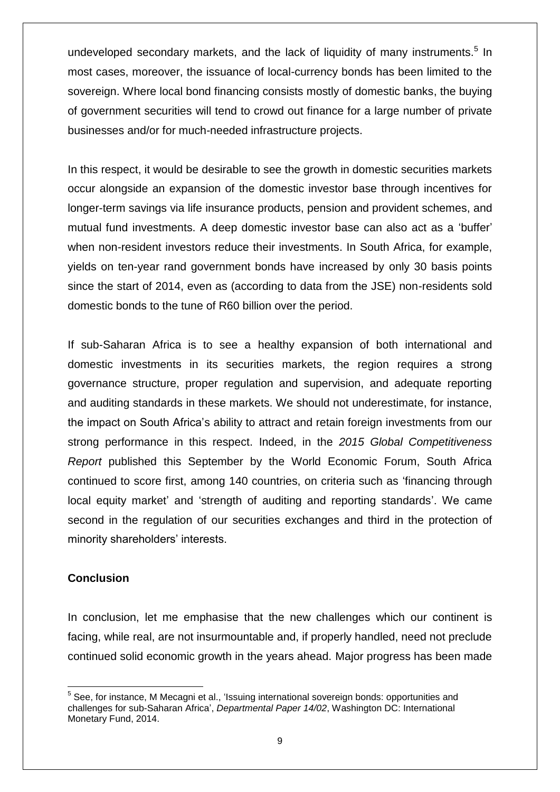undeveloped secondary markets, and the lack of liquidity of many instruments.<sup>5</sup> In most cases, moreover, the issuance of local-currency bonds has been limited to the sovereign. Where local bond financing consists mostly of domestic banks, the buying of government securities will tend to crowd out finance for a large number of private businesses and/or for much-needed infrastructure projects.

In this respect, it would be desirable to see the growth in domestic securities markets occur alongside an expansion of the domestic investor base through incentives for longer-term savings via life insurance products, pension and provident schemes, and mutual fund investments. A deep domestic investor base can also act as a 'buffer' when non-resident investors reduce their investments. In South Africa, for example, yields on ten-year rand government bonds have increased by only 30 basis points since the start of 2014, even as (according to data from the JSE) non-residents sold domestic bonds to the tune of R60 billion over the period.

If sub-Saharan Africa is to see a healthy expansion of both international and domestic investments in its securities markets, the region requires a strong governance structure, proper regulation and supervision, and adequate reporting and auditing standards in these markets. We should not underestimate, for instance, the impact on South Africa's ability to attract and retain foreign investments from our strong performance in this respect. Indeed, in the *2015 Global Competitiveness Report* published this September by the World Economic Forum, South Africa continued to score first, among 140 countries, on criteria such as 'financing through local equity market' and 'strength of auditing and reporting standards'. We came second in the regulation of our securities exchanges and third in the protection of minority shareholders' interests.

## **Conclusion**

In conclusion, let me emphasise that the new challenges which our continent is facing, while real, are not insurmountable and, if properly handled, need not preclude continued solid economic growth in the years ahead. Major progress has been made

<sup>1</sup> <sup>5</sup> See, for instance, M Mecagni et al., 'Issuing international sovereign bonds: opportunities and challenges for sub-Saharan Africa', *Departmental Paper 14/02*, Washington DC: International Monetary Fund, 2014.